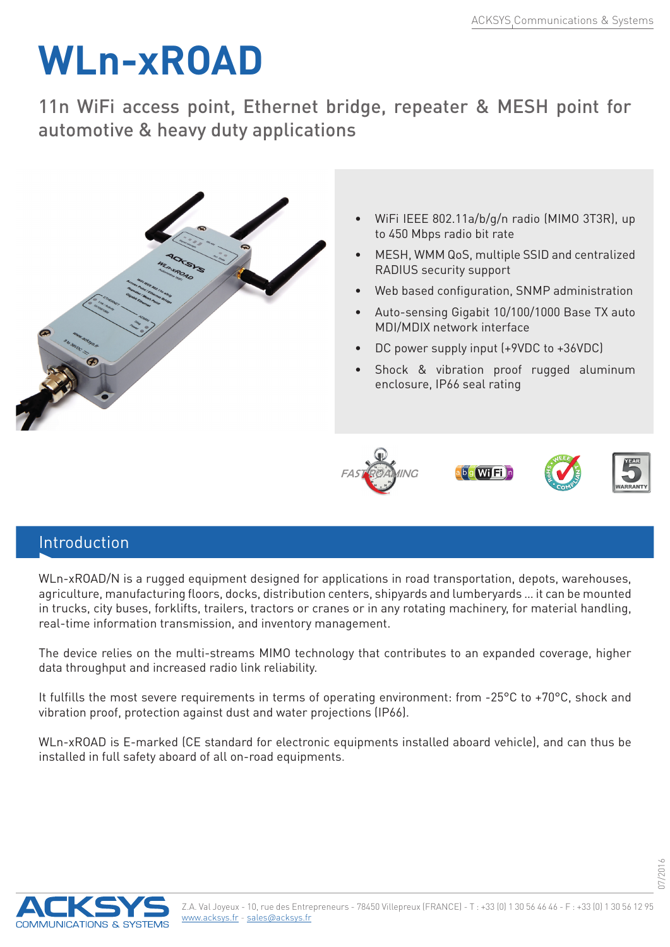## **WLn-xROAD**

11n WiFi access point, Ethernet bridge, repeater & MESH point for automotive & heavy duty applications



## Introduction

WLn-xROAD/N is a rugged equipment designed for applications in road transportation, depots, warehouses, agriculture, manufacturing floors, docks, distribution centers, shipyards and lumberyards … it can be mounted in trucks, city buses, forklifts, trailers, tractors or cranes or in any rotating machinery, for material handling, real-time information transmission, and inventory management.

**FASTROAMING** 

The device relies on the multi-streams MIMO technology that contributes to an expanded coverage, higher data throughput and increased radio link reliability.

It fulfills the most severe requirements in terms of operating environment: from -25°C to +70°C, shock and vibration proof, protection against dust and water projections (IP66).

WLn-xROAD is E-marked (CE standard for electronic equipments installed aboard vehicle), and can thus be installed in full safety aboard of all on-road equipments.



07/2016